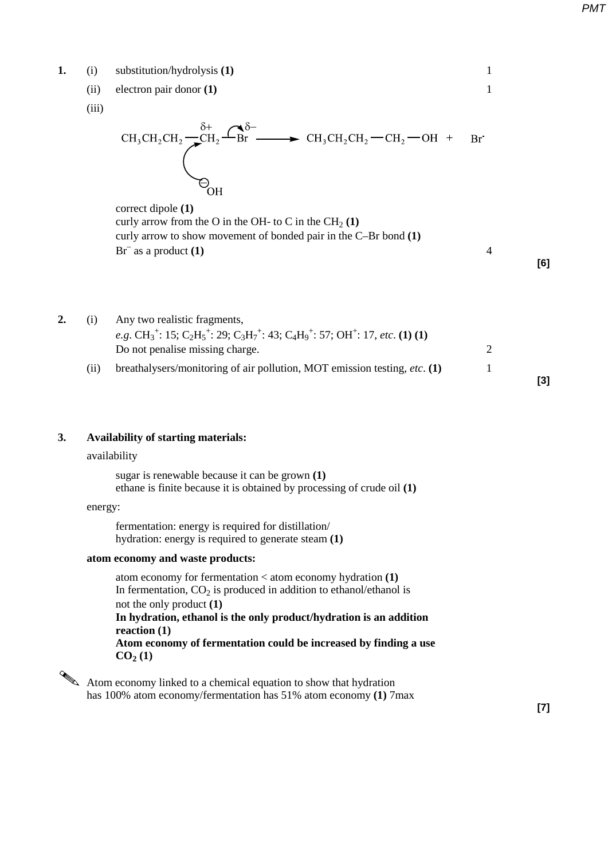**1.** (i) substitution/hydrolysis **(1)** 1

(ii) electron pair donor **(1)** 1

(iii)

$$
CH_3CH_2CH_2 \xrightarrow{\delta^+} CH_2 \xrightarrow{\delta^-} CH_3CH_3CH_2CH_2-CH_2-OH + BH
$$

 correct dipole **(1)** curly arrow from the O in the OH- to C in the  $CH<sub>2</sub>(1)$ curly arrow to show movement of bonded pair in the C–Br bond **(1)**   $Br<sup>-</sup>$  as a product **(1)** 4

**[6]**

**2.** (i) Any two realistic fragments, *e.g.*  $CH_3^+$ : 15;  $C_2H_5^+$ : 29;  $C_3H_7^+$ : 43;  $C_4H_9^+$ : 57;  $OH^+$ : 17, *etc.* **(1) (1)** Do not penalise missing charge. 2 (ii) breathalysers/monitoring of air pollution, MOT emission testing, *etc*. **(1)** 1 **[3]**

## **3. Availability of starting materials:**

#### availability

sugar is renewable because it can be grown **(1)** ethane is finite because it is obtained by processing of crude oil **(1)**

# energy:

fermentation: energy is required for distillation/ hydration: energy is required to generate steam **(1)**

### **atom economy and waste products:**

 atom economy for fermentation < atom economy hydration **(1)** In fermentation,  $CO<sub>2</sub>$  is produced in addition to ethanol/ethanol is not the only product **(1) In hydration, ethanol is the only product/hydration is an addition reaction (1) Atom economy of fermentation could be increased by finding a use**  $CO<sub>2</sub>(1)$ 

Atom economy linked to a chemical equation to show that hydration has 100% atom economy/fermentation has 51% atom economy **(1)** 7max

**[7]**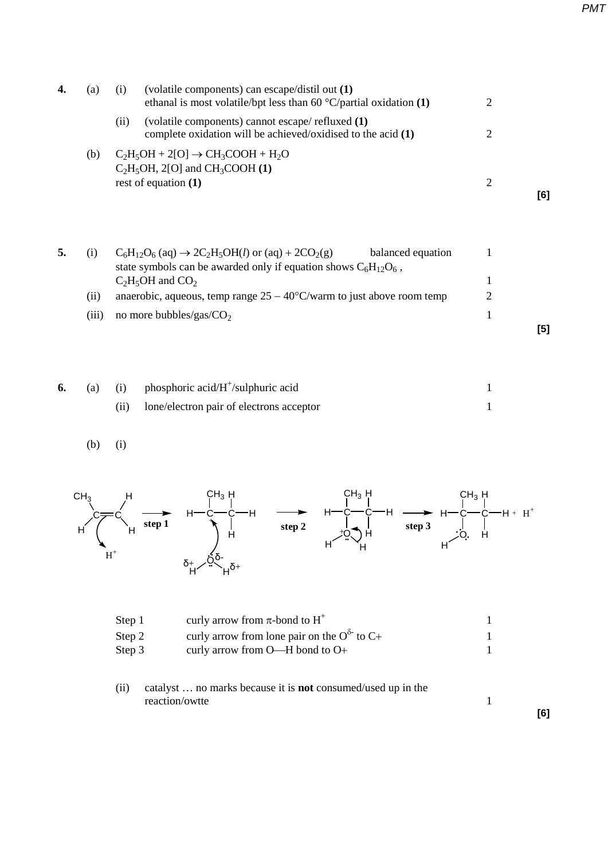| (a) | (volatile components) can escape/distil out (1)<br>(1)<br>ethanal is most volatile/bpt less than 60 $\degree$ C/partial oxidation (1) | 2 |     |
|-----|---------------------------------------------------------------------------------------------------------------------------------------|---|-----|
|     | (volatile components) cannot escape/ refluxed (1)<br>(11)<br>complete oxidation will be achieved/oxidised to the acid $(1)$           | 2 |     |
| (b) | $C_2H_5OH + 2[O] \rightarrow CH_3COOH + H_2O$<br>$C_2H_5OH$ , 2[O] and CH <sub>3</sub> COOH (1)<br>rest of equation $(1)$             |   |     |
|     |                                                                                                                                       |   | [6] |

| 5. | (1)   | $C_6H_{12}O_6$ (aq) $\rightarrow$ 2C <sub>2</sub> H <sub>5</sub> OH( <i>l</i> ) or (aq) + 2CO <sub>2</sub> (g) | balanced equation |     |
|----|-------|----------------------------------------------------------------------------------------------------------------|-------------------|-----|
|    |       | state symbols can be awarded only if equation shows $C_6H_{12}O_6$ ,                                           |                   |     |
|    |       | $C_2H_5OH$ and $CO_2$                                                                                          |                   |     |
|    | (iij) | anaerobic, aqueous, temp range $25 - 40^{\circ}$ C/warm to just above room temp                                |                   |     |
|    | (iii) | no more bubbles/gas/ $CO2$                                                                                     |                   |     |
|    |       |                                                                                                                |                   | [5] |

|  | (a) (i) phosphoric acid/ $H^{\dagger}$ /sulphuric acid |  |
|--|--------------------------------------------------------|--|
|  | (ii) lone/electron pair of electrons acceptor          |  |

$$
(b) (i)
$$



| Step 1 | curly arrow from $\pi$ -bond to H <sup>+</sup>       |  |
|--------|------------------------------------------------------|--|
| Step 2 | curly arrow from lone pair on the $O^{\delta}$ to C+ |  |
| Step 3 | curly arrow from $O$ —H bond to $O$ +                |  |
|        |                                                      |  |

(ii) catalyst … no marks because it is **not** consumed/used up in the reaction/owtte 1

**[6]**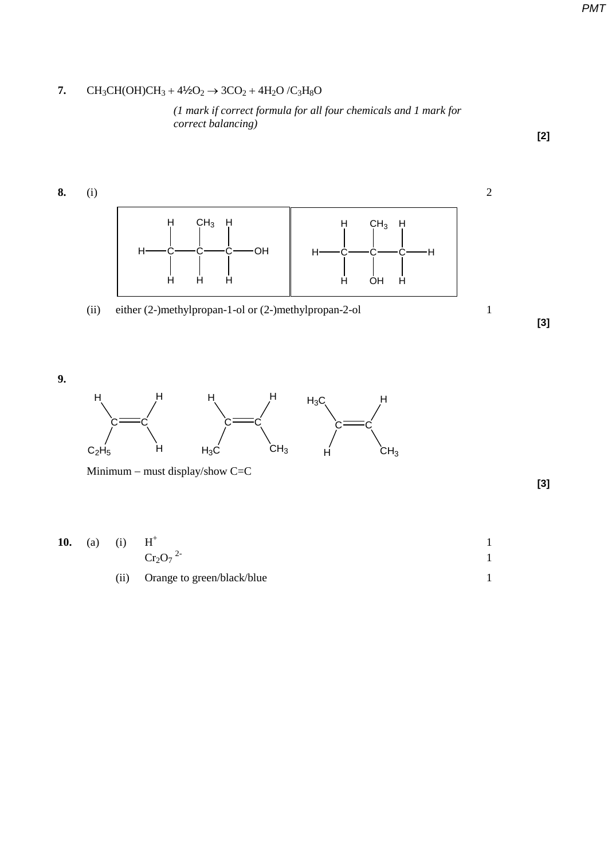# **7.** CH<sub>3</sub>CH(OH)CH<sub>3</sub> + 4<sup>1</sup>/<sub>2</sub>O<sub>2</sub>  $\rightarrow$  3CO<sub>2</sub> + 4H<sub>2</sub>O/C<sub>3</sub>H<sub>8</sub>O

*(1 mark if correct formula for all four chemicals and 1 mark for correct balancing)*



Minimum − must display/show C=C

**[3]**

**[2]**

10. (a) (i) 
$$
H^+
$$
  
\n $Cr_2O_7$ <sup>2-</sup>  
\n(ii) Orange to green/black/blue  
\n1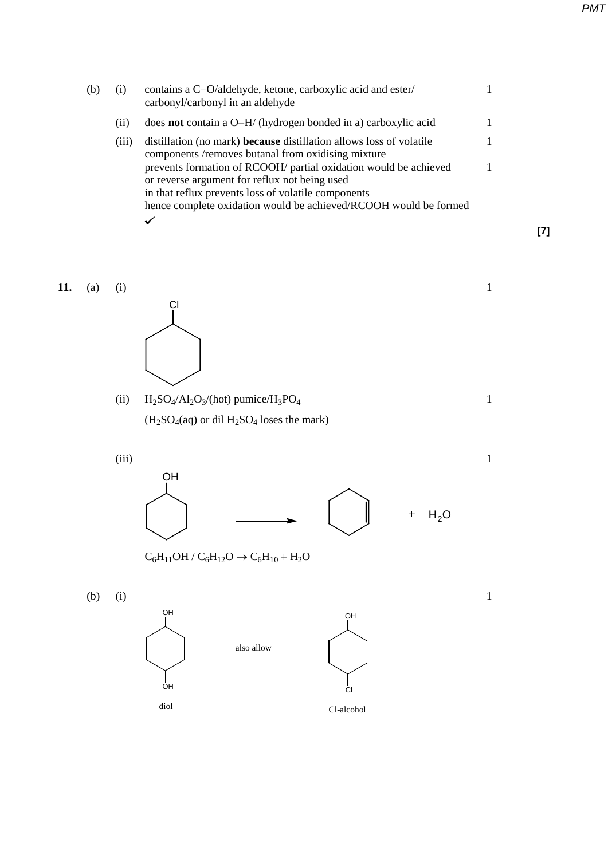| (b) | (1)   | contains a C=O/aldehyde, ketone, carboxylic acid and ester/<br>carbonyl/carbonyl in an aldehyde                                                                          |  |
|-----|-------|--------------------------------------------------------------------------------------------------------------------------------------------------------------------------|--|
|     | (i)   | does <b>not</b> contain a O–H/ (hydrogen bonded in a) carboxylic acid                                                                                                    |  |
|     | (111) | distillation (no mark) <b>because</b> distillation allows loss of volatile<br>components/removes butanal from oxidising mixture                                          |  |
|     |       | prevents formation of RCOOH/ partial oxidation would be achieved<br>or reverse argument for reflux not being used<br>in that reflux prevents loss of volatile components |  |
|     |       | hence complete oxidation would be achieved/RCOOH would be formed                                                                                                         |  |
|     |       | v                                                                                                                                                                        |  |

**[7]**



(ii)  $H_2SO_4/Al_2O_3/(\text{hot})$  pumice/ $H_3PO_4$  1  $(H<sub>2</sub>SO<sub>4</sub>(aq)$  or dil  $H<sub>2</sub>SO<sub>4</sub>$  loses the mark)

 $(iii)$  1



 $\rm C_6H_{11}OH$  /  $\rm C_6H_{12}O$   $\rightarrow$   $\rm C_6H_{10}+H_{2}O$ 

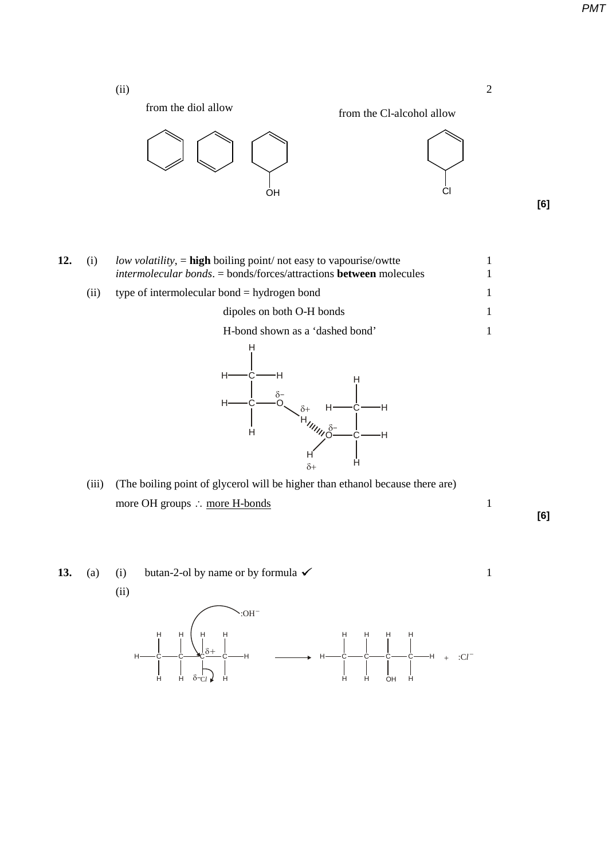*PMT*





Cl



**[6]**

**12.** (i) *low volatility*, = **high** boiling point/ not easy to vapourise/owtte 1 *intermolecular bonds*. = bonds/forces/attractions **between** molecules 1 (ii) type of intermolecular bond = hydrogen bond 1 dipoles on both O-H bonds 1 H-bond shown as a 'dashed bond' 1 H H <sup>H</sup> <sup>H</sup> C

δ–

H  $\delta^+$ (iii) (The boiling point of glycerol will be higher than ethanol because there are) more OH groups ∴ more H-bonds 1

H

O

 $\delta$ –

 $\circ$   $_{\delta+}$   $_{H}$   $_{C}$ 

H

C

H

H

δ+

H

H

C

H

**[6]**

**13.** (a) (i) butan-2-ol by name or by formula  $\checkmark$  1 (ii)  $\sim$ :OH $^{-}$ 

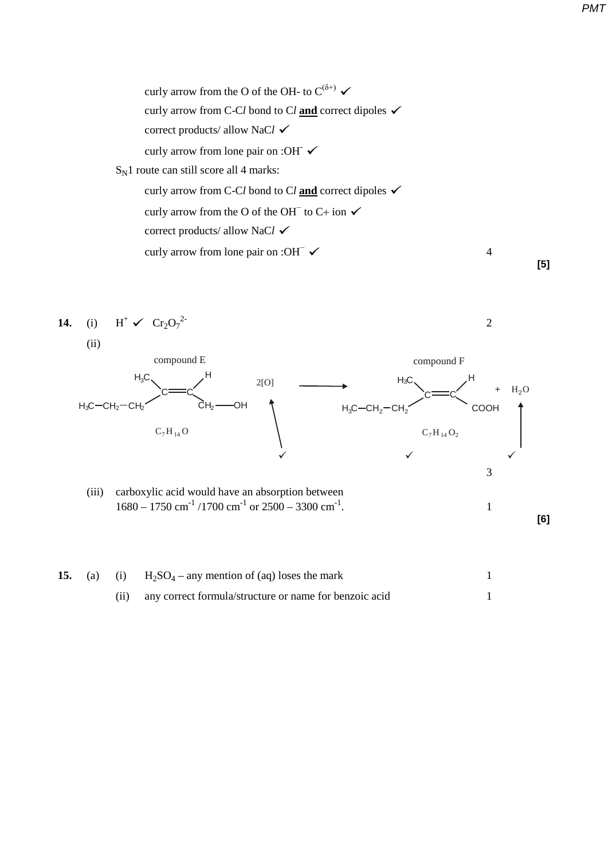



|  | 15. (a) (i) $H_2SO_4$ – any mention of (aq) loses the mark |  |
|--|------------------------------------------------------------|--|
|  | any correct formula/structure or name for benzoic acid     |  |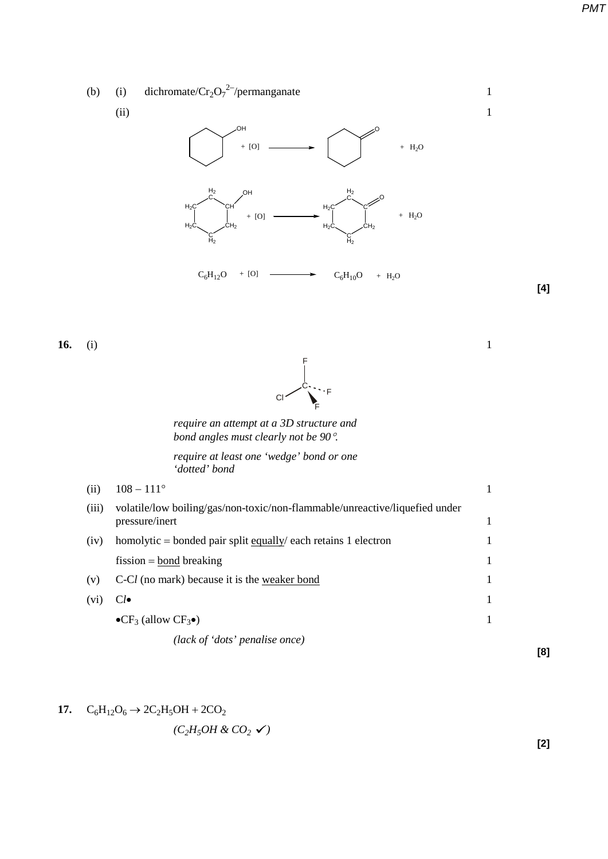*PMT*



| (iii) | volatile/low boiling/gas/non-toxic/non-flammable/unreactive/liquefied under<br>pressure/inert |  |
|-------|-----------------------------------------------------------------------------------------------|--|
| (iv)  | homolytic = bonded pair split equally/ each retains 1 electron                                |  |
|       | fission $=$ bond breaking                                                                     |  |
| (v)   | C-Cl (no mark) because it is the weaker bond                                                  |  |
| (V1)  | $Cl\bullet$                                                                                   |  |
|       | $\bullet$ CF <sub>3</sub> (allow CF <sub>3</sub> $\bullet$ )                                  |  |
|       |                                                                                               |  |

*(lack of 'dots' penalise once)* 

17. 
$$
C_6H_{12}O_6 \rightarrow 2C_2H_5OH + 2CO_2
$$

$$
(C_2H_5OH\ \&\ CO_2\ \checkmark)
$$

**[2]**

**[8]**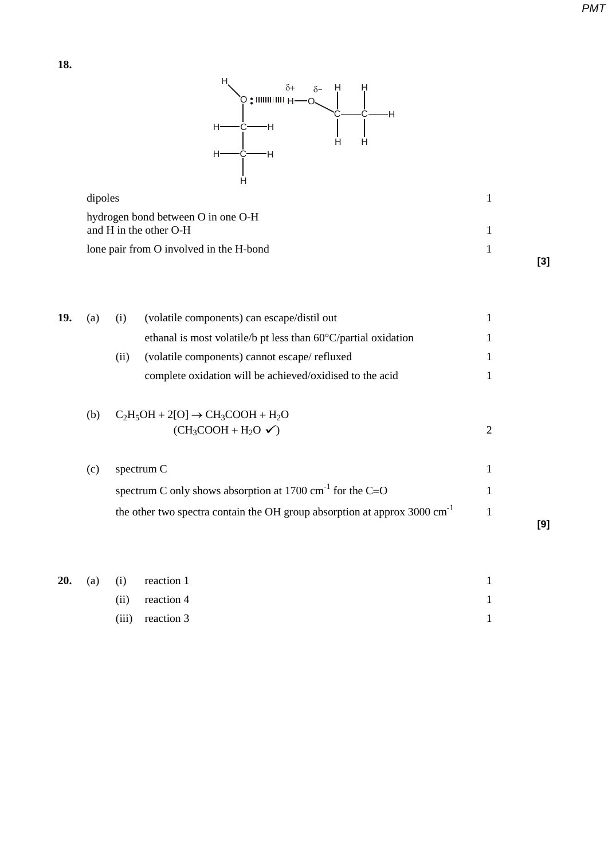

| hydrogen bond between O in one O-H<br>and H in the other O-H |  |
|--------------------------------------------------------------|--|
| lone pair from O involved in the H-bond                      |  |
|                                                              |  |

| 19. | (a) | (volatile components) can escape/distil out<br>(i)                       |   |
|-----|-----|--------------------------------------------------------------------------|---|
|     |     | ethanal is most volatile/b pt less than $60^{\circ}$ C/partial oxidation |   |
|     |     | (volatile components) cannot escape/refluxed<br>(11)                     |   |
|     |     | complete oxidation will be achieved/oxidised to the acid                 |   |
|     |     |                                                                          |   |
|     | (b) | $C_2H_5OH + 2[O] \rightarrow CH_3COOH + H_2O$                            |   |
|     |     | $(CH_3COOH + H_2O \checkmark)$                                           | 2 |
|     |     |                                                                          |   |
|     | (c) | spectrum C                                                               |   |

| spectrum C only shows absorption at 1700 cm <sup>-1</sup> for the C=O                  |     |
|----------------------------------------------------------------------------------------|-----|
| the other two spectra contain the OH group absorption at approx $3000 \text{ cm}^{-1}$ | [9] |
|                                                                                        |     |

|  |  | <b>20.</b> (a) (i) reaction 1 |  |
|--|--|-------------------------------|--|
|  |  | $(ii)$ reaction 4             |  |
|  |  | $(iii)$ reaction 3            |  |

**[3]**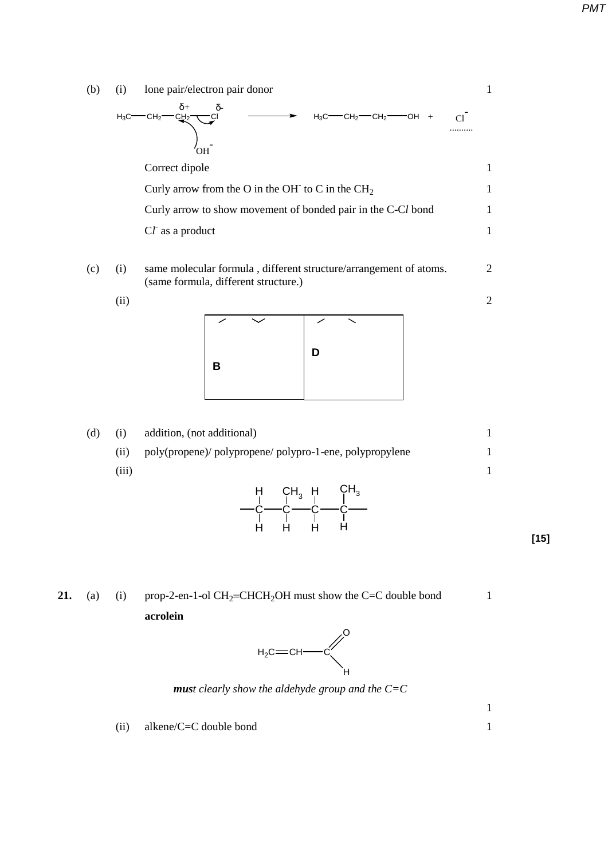(b) (i) lone pair/electron pair donor 1  $H_3C$ —CH<sub>2</sub>—CH<sub>2</sub>—CH<sub>2</sub>—CH<sub>2</sub>—CH<sub>2</sub>—CH<sub>2</sub>—OH + Cl<sup>-</sup> ..........  $'$ വ $-$ Correct dipole 1 Curly arrow from the O in the OH $\tau$  to C in the CH<sub>2</sub> 1 Curly arrow to show movement of bonded pair in the C-Cl bond 1 C*l* as a product 1

- (c) (i) same molecular formula , different structure/arrangement of atoms. 2 (same formula, different structure.)
	- $(i)$  2

|   | $\checkmark$ |   |  |
|---|--------------|---|--|
| В |              | D |  |
|   |              |   |  |

(d) (i) addition, (not additional) 1 (ii) poly(propene)/ polypropene/ polypro-1-ene, polypropylene 1  $(iii)$  1  $\mathrm{c}{-}\mathrm{c}{-}\mathrm{c}{-}\mathrm{c}$ H H  $\zeta$ H<sub>3</sub>  $\mathsf{C}\mathsf{H}_3$ 

H

H

H

**21.** (a) (i) prop-2-en-1-ol  $CH_2=CHCH_2OH$  must show the C=C double bond 1 **acrolein**

H



*must clearly show the aldehyde group and the C=C* 

(ii) alkene/C=C double bond 1







 $\sim$  1

**[15]**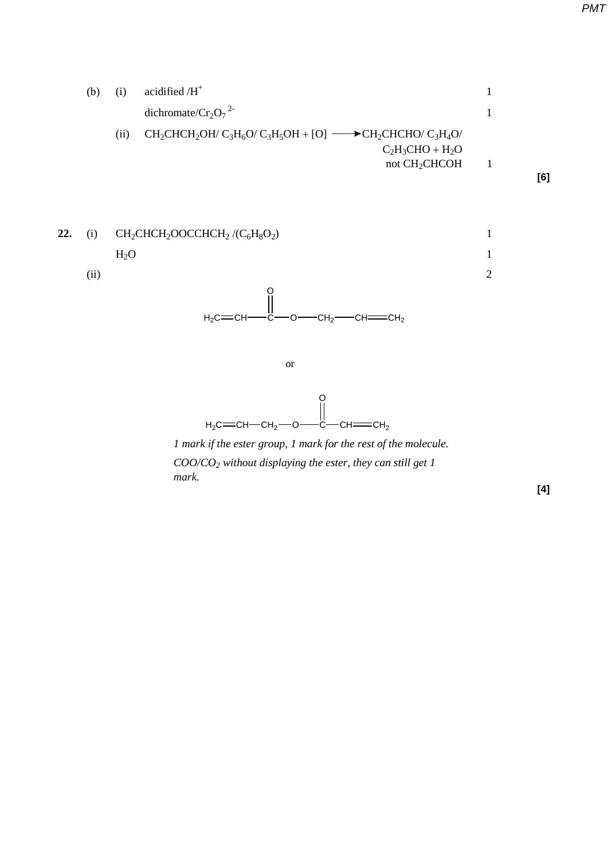

**22.** (i)  $CH_2CHCH_2OOCCHCH_2/(C_6H_8O_2)$  1  $H_2O$  1  $(i)$  2  $H_2C = CH - CH_2 - O - C$  CH  $= CH_2$ o<br>||  $H_2C = CH \rightarrow C \rightarrow O \rightarrow CH_2 \rightarrow CH \rightarrow CH \rightarrow CH$ o<br>Il or

*1 mark if the ester group, 1 mark for the rest of the molecule. COO/CO2 without displaying the ester, they can still get 1 mark.*

**[4]**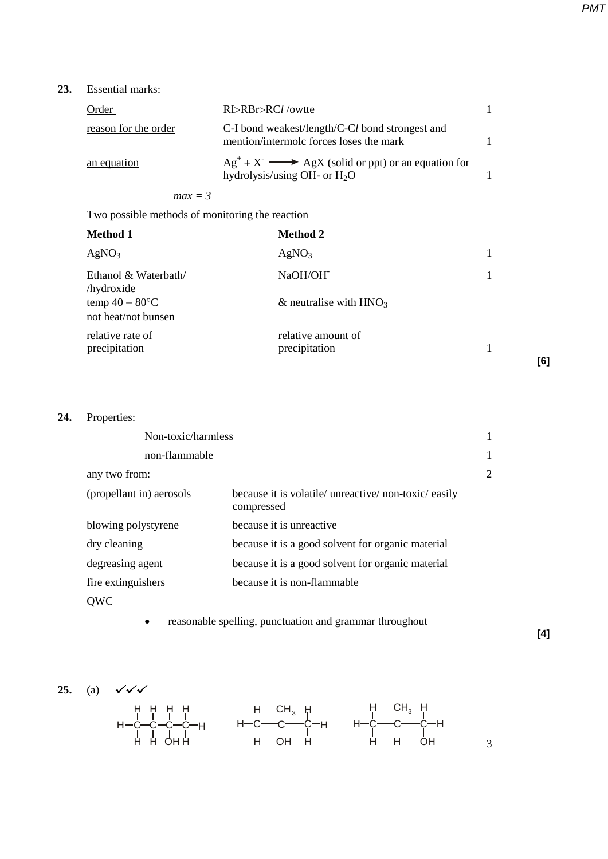**23.** Essential marks:

| Order                | RI>RBr>RCl/owtte                                                                                   |  |
|----------------------|----------------------------------------------------------------------------------------------------|--|
| reason for the order | C-I bond weakest/length/C-Cl bond strongest and<br>mention/intermolc forces loses the mark         |  |
| an equation          | $Ag+ + X- \longrightarrow AgX$ (solid or ppt) or an equation for<br>hydrolysis/using OH- or $H_2O$ |  |

*max = 3*

Two possible methods of monitoring the reaction

| <b>Method 1</b>                          | <b>Method 2</b>                     |     |
|------------------------------------------|-------------------------------------|-----|
| AgNO <sub>3</sub>                        | AgNO <sub>3</sub>                   |     |
| Ethanol & Waterbath/<br>/hydroxide       | NaOH/OH <sup>-</sup>                |     |
| temp $40 - 80$ °C<br>not heat/not bunsen | & neutralise with $HNO3$            |     |
| relative rate of<br>precipitation        | relative amount of<br>precipitation | [6] |

# **24.** Properties:

| Non-toxic/harmless       |                                                                     |   |
|--------------------------|---------------------------------------------------------------------|---|
| non-flammable            |                                                                     |   |
| any two from:            |                                                                     | 2 |
| (propellant in) aerosols | because it is volatile/ unreactive/ non-toxic/ easily<br>compressed |   |
| blowing polystyrene      | because it is unreactive                                            |   |
| dry cleaning             | because it is a good solvent for organic material                   |   |
| degreasing agent         | because it is a good solvent for organic material                   |   |
| fire extinguishers       | because it is non-flammable                                         |   |
| <b>OWC</b>               |                                                                     |   |

• reasonable spelling, punctuation and grammar throughout

**[4]**

$$
25. (a)
$$

 $\sqrt{\sqrt{}}$ 



3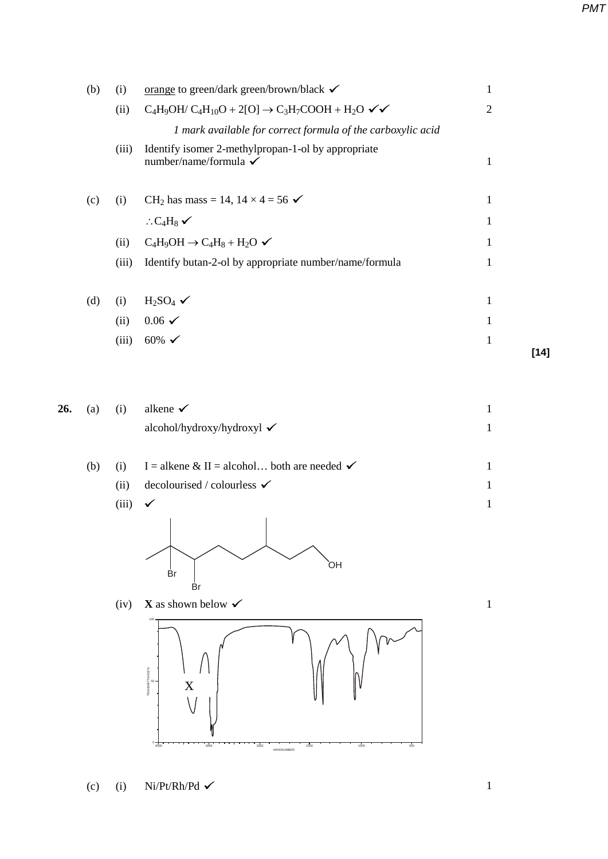|     | (b) | (i)   | orange to green/dark green/brown/black √                                    | $\mathbf{1}$   |        |
|-----|-----|-------|-----------------------------------------------------------------------------|----------------|--------|
|     |     | (ii)  | $C_4H_9OH/C_4H_{10}O + 2[O] \rightarrow C_3H_7COOH + H_2O \checkmark$       | $\overline{2}$ |        |
|     |     |       | 1 mark available for correct formula of the carboxylic acid                 |                |        |
|     |     | (iii) | Identify isomer 2-methylpropan-1-ol by appropriate<br>number/name/formula √ | $\mathbf{1}$   |        |
|     | (c) | (i)   | CH <sub>2</sub> has mass = 14, $14 \times 4 = 56$ $\checkmark$              | $\mathbf{1}$   |        |
|     |     |       | $C_4H_8$ $\checkmark$                                                       | 1              |        |
|     |     | (ii)  | $C_4H_9OH \rightarrow C_4H_8 + H_2O \checkmark$                             | 1              |        |
|     |     | (iii) | Identify butan-2-ol by appropriate number/name/formula                      | $\mathbf{1}$   |        |
|     | (d) | (i)   | $H_2SO_4$ $\checkmark$                                                      | $\mathbf{1}$   |        |
|     |     | (ii)  | $0.06 \checkmark$                                                           | $\mathbf{1}$   |        |
|     |     | (iii) | 60% $\checkmark$                                                            | $\mathbf{1}$   |        |
|     |     |       |                                                                             |                | $[14]$ |
| 26. | (a) | (i)   | alkene $\checkmark$                                                         | $\mathbf{1}$   |        |
|     |     |       | alcohol/hydroxy/hydroxyl √                                                  | $\mathbf{1}$   |        |
|     | (b) | (i)   | I = alkene & II = alcohol both are needed $\checkmark$                      | $\mathbf{1}$   |        |
|     |     | (ii)  | decolourised / colourless $\checkmark$                                      | $\mathbf{1}$   |        |
|     |     | (iii) | $\checkmark$                                                                | $\mathbf{1}$   |        |
|     |     |       | ЮÍ<br>Βr                                                                    |                |        |
|     |     |       | Br                                                                          |                |        |

(iv) **X** as shown below  $\checkmark$  1 100



HAVENUMBER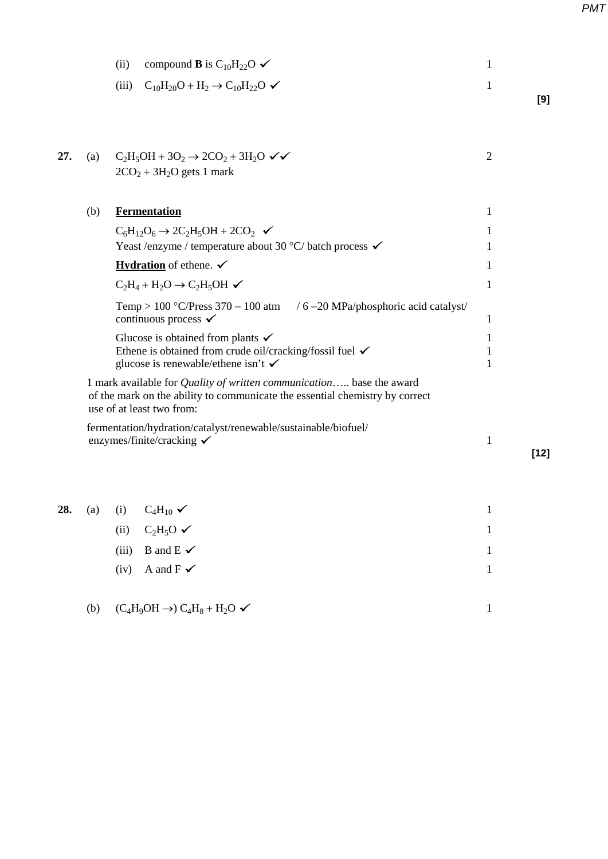|     |     | compound <b>B</b> is C <sub>10</sub> H <sub>22</sub> O $\checkmark$<br>(ii)                                                                                                              | 1              |        |
|-----|-----|------------------------------------------------------------------------------------------------------------------------------------------------------------------------------------------|----------------|--------|
|     |     | $C_{10}H_{20}O + H_2 \rightarrow C_{10}H_{22}O \blacktriangleright$<br>(iii)                                                                                                             | 1              | [9]    |
| 27. | (a) | $C_2H_5OH + 3O_2 \rightarrow 2CO_2 + 3H_2O \sqrt{\sqrt{}}$<br>$2CO2 + 3H2O$ gets 1 mark                                                                                                  | $\overline{2}$ |        |
|     | (b) | <b>Fermentation</b>                                                                                                                                                                      | 1              |        |
|     |     | $C_6H_{12}O_6 \rightarrow 2C_2H_5OH + 2CO_2$ $\checkmark$                                                                                                                                | 1              |        |
|     |     | Yeast /enzyme / temperature about 30 $\degree$ C/ batch process $\checkmark$                                                                                                             | 1              |        |
|     |     | <b>Hydration</b> of ethene. $\checkmark$                                                                                                                                                 | 1              |        |
|     |     | $C_2H_4 + H_2O \rightarrow C_2H_5OH \checkmark$                                                                                                                                          | 1              |        |
|     |     | Temp > 100 °C/Press 370 – 100 atm $/6 - 20$ MPa/phosphoric acid catalyst/<br>continuous process $\checkmark$                                                                             | 1              |        |
|     |     | Glucose is obtained from plants $\checkmark$                                                                                                                                             | 1              |        |
|     |     | Ethene is obtained from crude oil/cracking/fossil fuel $\checkmark$<br>glucose is renewable/ethene isn't $\checkmark$                                                                    | 1<br>1         |        |
|     |     | 1 mark available for <i>Quality of written communication</i> base the award<br>of the mark on the ability to communicate the essential chemistry by correct<br>use of at least two from: |                |        |
|     |     | fermentation/hydration/catalyst/renewable/sustainable/biofuel/<br>enzymes/finite/cracking $\checkmark$                                                                                   | 1              | $[12]$ |
|     |     |                                                                                                                                                                                          |                |        |

| 28. |        | (a) (i) $C_4H_{10}$ $\checkmark$          |     |
|-----|--------|-------------------------------------------|-----|
|     |        | (ii) $C_2H_5O \checkmark$                 |     |
|     |        | (iii) B and E $\checkmark$                |     |
|     |        | (iv) A and $F \checkmark$                 |     |
|     |        |                                           |     |
|     | $\sim$ | $\sim$ $\sim$ $\sim$ $\sim$ $\sim$ $\sim$ | . . |

| (b) $(C_4H_9OH \rightarrow) C_4H_8 + H_2O \checkmark$ |  |
|-------------------------------------------------------|--|
|-------------------------------------------------------|--|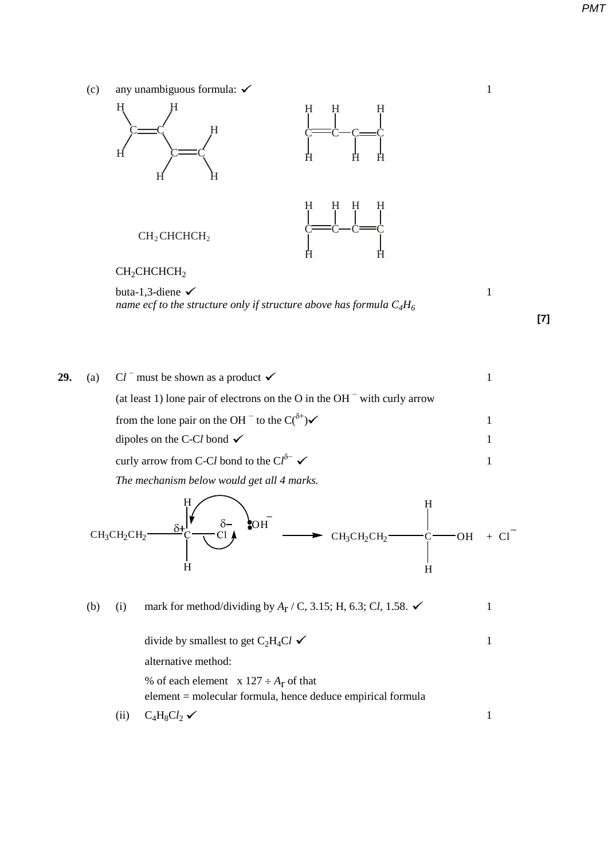